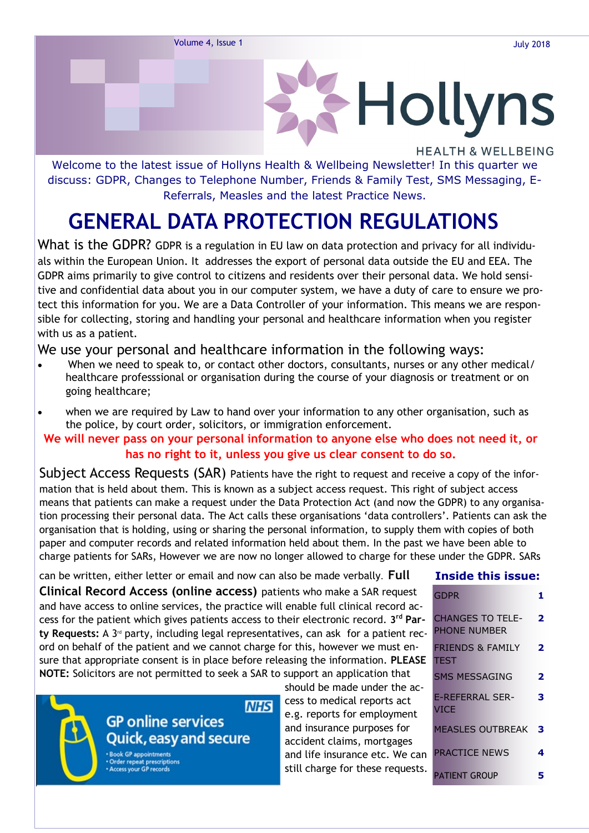

Welcome to the latest issue of Hollyns Health & Wellbeing Newsletter! In this quarter we discuss: GDPR, Changes to Telephone Number, Friends & Family Test, SMS Messaging, E-Referrals, Measles and the latest Practice News.

## **GENERAL DATA PROTECTION REGULATIONS**

What is the GDPR? GDPR is a regulation in EU law on data protection and privacy for all individuals within the European Union. It addresses the export of personal data outside the EU and EEA. The GDPR aims primarily to give control to citizens and residents over their personal data. We hold sensitive and confidential data about you in our computer system, we have a duty of care to ensure we protect this information for you. We are a Data Controller of your information. This means we are responsible for collecting, storing and handling your personal and healthcare information when you register with us as a patient.

#### We use your personal and healthcare information in the following ways:

- When we need to speak to, or contact other doctors, consultants, nurses or any other medical/ healthcare professsional or organisation during the course of your diagnosis or treatment or on going healthcare;
- when we are required by Law to hand over your information to any other organisation, such as the police, by court order, solicitors, or immigration enforcement.

#### **We will never pass on your personal information to anyone else who does not need it, or has no right to it, unless you give us clear consent to do so.**

Subject Access Requests (SAR) Patients have the right to request and receive a copy of the information that is held about them. This is known as a subject access request. This right of subject access means that patients can make a request under the Data Protection Act (and now the GDPR) to any organisation processing their personal data. The Act calls these organisations 'data controllers'. Patients can ask the organisation that is holding, using or sharing the personal information, to supply them with copies of both paper and computer records and related information held about them. In the past we have been able to charge patients for SARs, However we are now no longer allowed to charge for these under the GDPR. SARs

can be written, either letter or email and now can also be made verbally. **Full Clinical Record Access (online access)** patients who make a SAR request and have access to online services, the practice will enable full clinical record access for the patient which gives patients access to their electronic record. **3 rd Par**ty Requests: A 3<sup>rd</sup> party, including legal representatives, can ask for a patient record on behalf of the patient and we cannot charge for this, however we must ensure that appropriate consent is in place before releasing the information. **PLEASE NOTE:** Solicitors are not permitted to seek a SAR to support an application that

#### **NHS GP online services Quick, easy and secure**

ler repeat prescriptions

should be made under the access to medical reports act e.g. reports for employment and insurance purposes for accident claims, mortgages and life insurance etc. We can still charge for these requests.

#### **Inside this issue:**

| GDPR                                       |   |
|--------------------------------------------|---|
| CHANGES TO TELE-<br>PHONE NUMBER           | 2 |
| <b>FRIENDS &amp; FAMILY</b><br><b>TEST</b> | 2 |
| SMS MESSAGING                              | 2 |
| F-RFFFRRAI SFR-<br>VICF                    | з |
| <b>MEASLES OUTBREAK</b>                    | з |
| <b>PRACTICE NEWS</b>                       | 4 |
| PATIENT GROUP                              |   |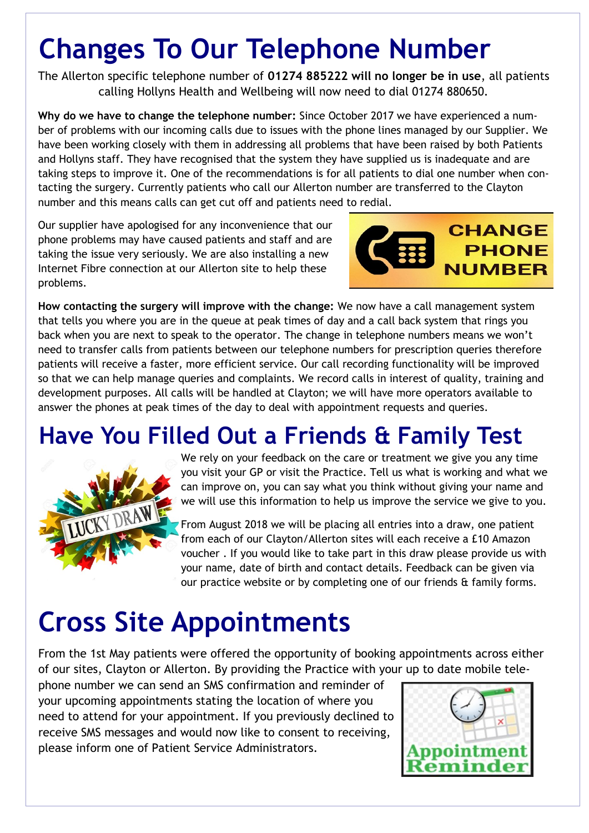# **Changes To Our Telephone Number**

The Allerton specific telephone number of **01274 885222 will no longer be in use**, all patients calling Hollyns Health and Wellbeing will now need to dial 01274 880650.

**Why do we have to change the telephone number:** Since October 2017 we have experienced a number of problems with our incoming calls due to issues with the phone lines managed by our Supplier. We have been working closely with them in addressing all problems that have been raised by both Patients and Hollyns staff. They have recognised that the system they have supplied us is inadequate and are taking steps to improve it. One of the recommendations is for all patients to dial one number when contacting the surgery. Currently patients who call our Allerton number are transferred to the Clayton number and this means calls can get cut off and patients need to redial.

Our supplier have apologised for any inconvenience that our phone problems may have caused patients and staff and are taking the issue very seriously. We are also installing a new Internet Fibre connection at our Allerton site to help these problems.



**How contacting the surgery will improve with the change:** We now have a call management system that tells you where you are in the queue at peak times of day and a call back system that rings you back when you are next to speak to the operator. The change in telephone numbers means we won't need to transfer calls from patients between our telephone numbers for prescription queries therefore patients will receive a faster, more efficient service. Our call recording functionality will be improved so that we can help manage queries and complaints. We record calls in interest of quality, training and development purposes. All calls will be handled at Clayton; we will have more operators available to answer the phones at peak times of the day to deal with appointment requests and queries.

## **Have You Filled Out a Friends & Family Test**



We rely on your feedback on the care or treatment we give you any time you visit your GP or visit the Practice. Tell us what is working and what we can improve on, you can say what you think without giving your name and we will use this information to help us improve the service we give to you.

From August 2018 we will be placing all entries into a draw, one patient from each of our Clayton/Allerton sites will each receive a £10 Amazon voucher . If you would like to take part in this draw please provide us with your name, date of birth and contact details. Feedback can be given via our practice website or by completing one of our friends & family forms.

# **Cross Site Appointments**

From the 1st May patients were offered the opportunity of booking appointments across either of our sites, Clayton or Allerton. By providing the Practice with your up to date mobile tele-

phone number we can send an SMS confirmation and reminder of your upcoming appointments stating the location of where you need to attend for your appointment. If you previously declined to receive SMS messages and would now like to consent to receiving, please inform one of Patient Service Administrators.

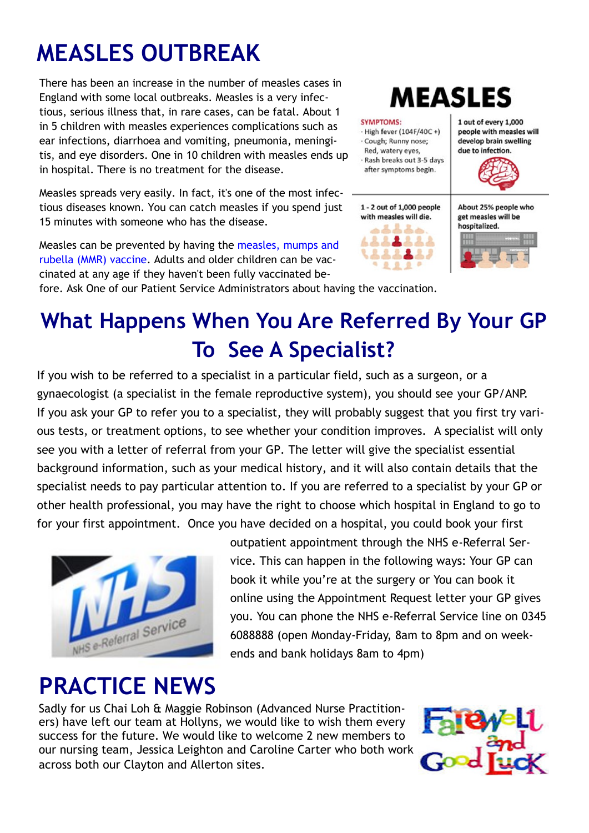# **MEASLES OUTBREAK**

There has been an increase in the number of measles cases in England with some local outbreaks. Measles is a very infectious, serious illness that, in rare cases, can be fatal. About 1 in 5 children with measles experiences complications such as ear infections, diarrhoea and vomiting, pneumonia, meningitis, and eye disorders. One in 10 children with measles ends up in hospital. There is no treatment for the disease.

Measles spreads very easily. In fact, it's one of the most infectious diseases known. You can catch measles if you spend just 15 minutes with someone who has the disease.

Measles can be prevented by having the [measles, mumps and](https://www.nhs.uk/Conditions/vaccinations/Pages/mmr-vaccine.aspx)  [rubella \(MMR\) vaccine.](https://www.nhs.uk/Conditions/vaccinations/Pages/mmr-vaccine.aspx) Adults and older children can be vaccinated at any age if they haven't been fully vaccinated be-

# **MEASLES**

#### **SYMPTOMS:**

 $-Highfever (104F/40C + )$ · Cough; Runny nose; Red, watery eyes, - Rash breaks out 3-5 days after symptoms begin.

1 - 2 out of 1,000 people with measles will die.



1 out of every 1,000 people with measles will develop brain swelling due to infection.



About 25% people who get measles will be hospitalized



fore. Ask One of our Patient Service Administrators about having the vaccination.

## **What Happens When You Are Referred By Your GP To See A Specialist?**

If you wish to be referred to a specialist in a particular field, such as a surgeon, or a gynaecologist (a specialist in the female reproductive system), you should see your GP/ANP. If you ask your GP to refer you to a specialist, they will probably suggest that you first try various tests, or treatment options, to see whether your condition improves. A specialist will only see you with a letter of referral from your GP. The letter will give the specialist essential background information, such as your medical history, and it will also contain details that the specialist needs to pay particular attention to. If you are referred to a specialist by your GP or other health professional, you may have the right to choose which hospital in England to go to for your first appointment. Once you have decided on a hospital, you could book your first



outpatient appointment through the NHS e-Referral Service. This can happen in the following ways: Your GP can book it while you're at the surgery or You can book it online using the Appointment Request letter your GP gives you. You can phone the NHS e-Referral Service line on 0345 6088888 (open Monday-Friday, 8am to 8pm and on weekends and bank holidays 8am to 4pm)

## **PRACTICE NEWS**

Sadly for us Chai Loh & Maggie Robinson (Advanced Nurse Practitioners) have left our team at Hollyns, we would like to wish them every success for the future. We would like to welcome 2 new members to our nursing team, Jessica Leighton and Caroline Carter who both work across both our Clayton and Allerton sites.

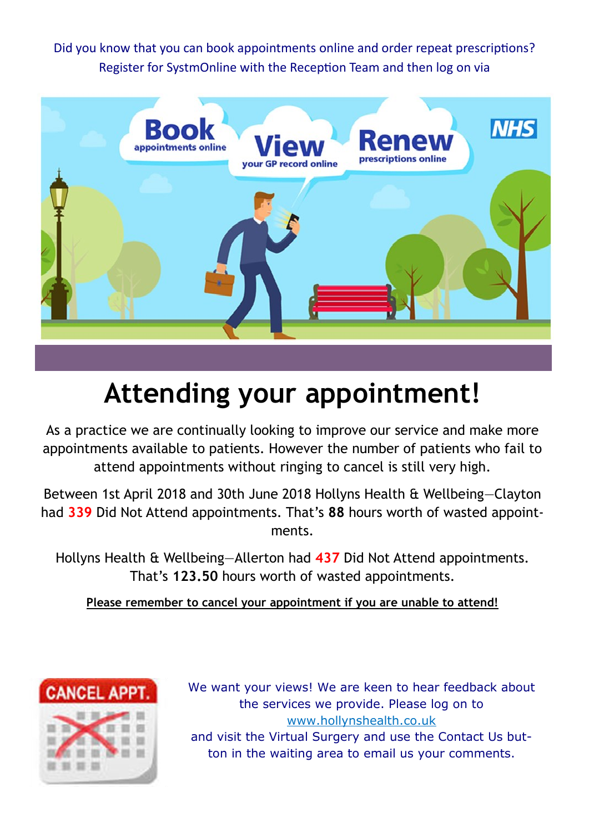Did you know that you can book appointments online and order repeat prescriptions? Register for SystmOnline with the Reception Team and then log on via



# **Attending your appointment!**

As a practice we are continually looking to improve our service and make more appointments available to patients. However the number of patients who fail to attend appointments without ringing to cancel is still very high.

Between 1st April 2018 and 30th June 2018 Hollyns Health & Wellbeing—Clayton had **339** Did Not Attend appointments. That's **88** hours worth of wasted appointments.

Hollyns Health & Wellbeing—Allerton had **437** Did Not Attend appointments. That's **123.50** hours worth of wasted appointments.

**Please remember to cancel your appointment if you are unable to attend!**



We want your views! We are keen to hear feedback about the services we provide. Please log on to www.hollynshealth.co.uk and visit the Virtual Surgery and use the Contact Us button in the waiting area to email us your comments.